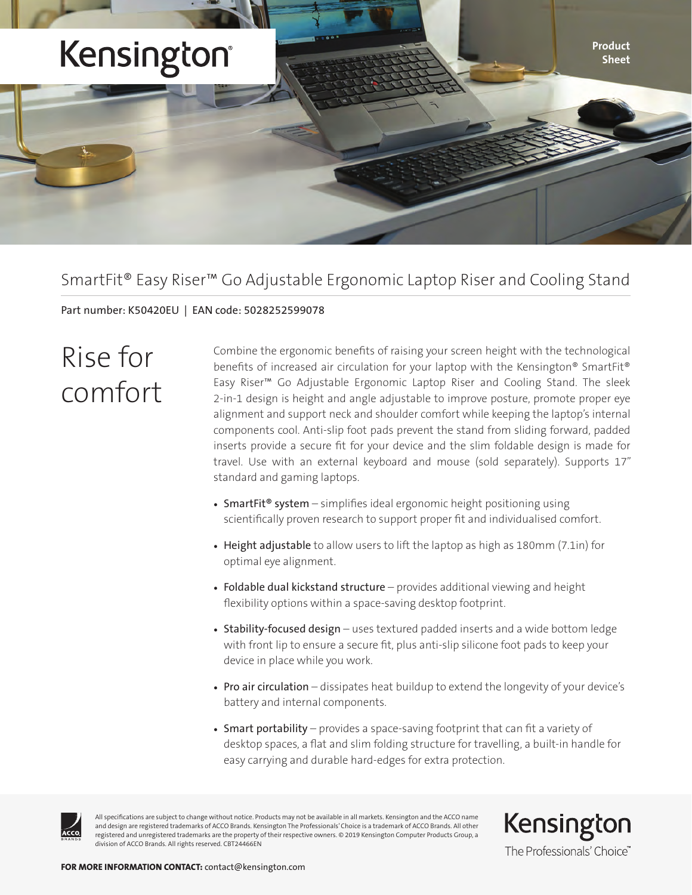

### SmartFit® Easy Riser™ Go Adjustable Ergonomic Laptop Riser and Cooling Stand

Part number: K50420EU | EAN code: 5028252599078

# Rise for comfort

Combine the ergonomic benefits of raising your screen height with the technological benefits of increased air circulation for your laptop with the Kensington® SmartFit® Easy Riser™ Go Adjustable Ergonomic Laptop Riser and Cooling Stand. The sleek 2-in-1 design is height and angle adjustable to improve posture, promote proper eye alignment and support neck and shoulder comfort while keeping the laptop's internal components cool. Anti-slip foot pads prevent the stand from sliding forward, padded inserts provide a secure fit for your device and the slim foldable design is made for travel. Use with an external keyboard and mouse (sold separately). Supports 17" standard and gaming laptops.

- SmartFit<sup>®</sup> system simplifies ideal ergonomic height positioning using scientifically proven research to support proper fit and individualised comfort.
- Height adjustable to allow users to lift the laptop as high as 180mm (7.1in) for optimal eye alignment.
- Foldable dual kickstand structure provides additional viewing and height flexibility options within a space-saving desktop footprint.
- Stability-focused design uses textured padded inserts and a wide bottom ledge with front lip to ensure a secure fit, plus anti-slip silicone foot pads to keep your device in place while you work.
- Pro air circulation dissipates heat buildup to extend the longevity of your device's battery and internal components.
- Smart portability provides a space-saving footprint that can fit a variety of desktop spaces, a flat and slim folding structure for travelling, a built-in handle for easy carrying and durable hard-edges for extra protection.



All specifications are subject to change without notice. Products may not be available in all markets. Kensington and the ACCO name and design are registered trademarks of ACCO Brands. Kensington The Professionals' Choice is a trademark of ACCO Brands. All other registered and unregistered trademarks are the property of their respective owners. © 2019 Kensington Computer Products Group, a division of ACCO Brands. All rights reserved. CBT24466EN

Kensington The Professionals' Choice"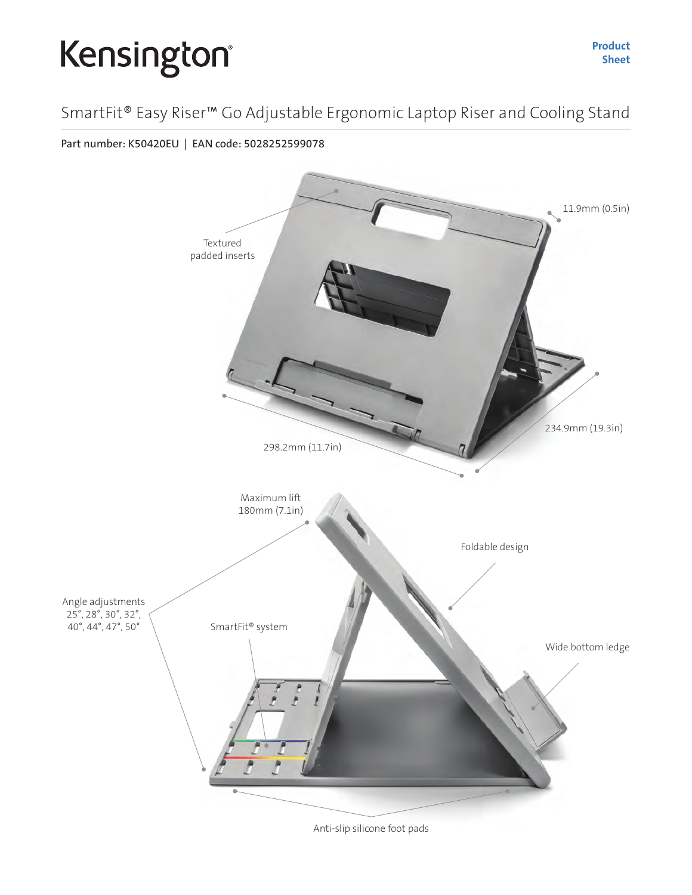# Kensington®

### SmartFit® Easy Riser™ Go Adjustable Ergonomic Laptop Riser and Cooling Stand

Part number: K50420EU | EAN code: 5028252599078



Anti-slip silicone foot pads